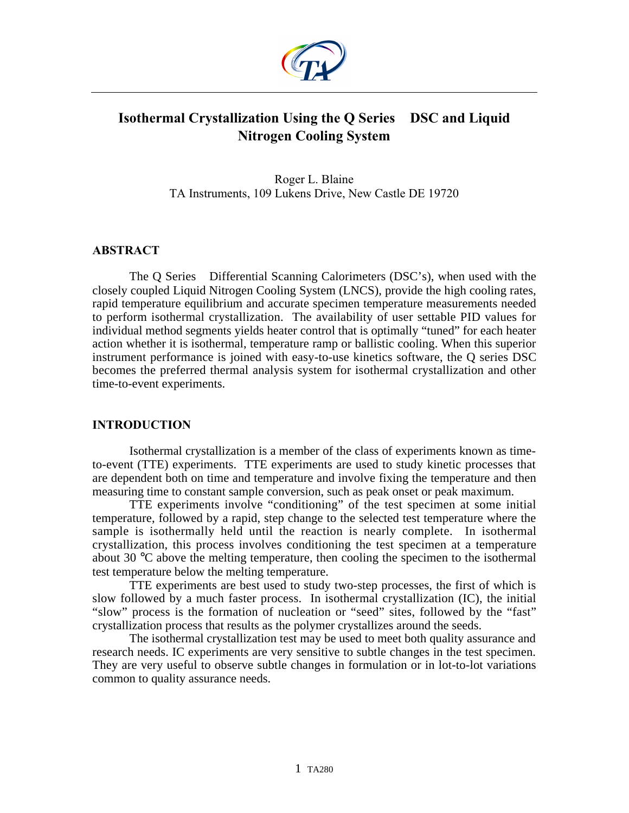

# **Isothermal Crystallization Using the Q Series<sup>™</sup> DSC and Liquid Nitrogen Cooling System**

Roger L. Blaine TA Instruments, 109 Lukens Drive, New Castle DE 19720

## **ABSTRACT**

The Q Series<sup> $TM$ </sup> Differential Scanning Calorimeters (DSC's), when used with the closely coupled Liquid Nitrogen Cooling System (LNCS), provide the high cooling rates, rapid temperature equilibrium and accurate specimen temperature measurements needed to perform isothermal crystallization. The availability of user settable PID values for individual method segments yields heater control that is optimally "tuned" for each heater action whether it is isothermal, temperature ramp or ballistic cooling. When this superior instrument performance is joined with easy-to-use kinetics software, the Q series DSC becomes the preferred thermal analysis system for isothermal crystallization and other time-to-event experiments.

## **INTRODUCTION**

Isothermal crystallization is a member of the class of experiments known as timeto-event (TTE) experiments. TTE experiments are used to study kinetic processes that are dependent both on time and temperature and involve fixing the temperature and then measuring time to constant sample conversion, such as peak onset or peak maximum.

TTE experiments involve "conditioning" of the test specimen at some initial temperature, followed by a rapid, step change to the selected test temperature where the sample is isothermally held until the reaction is nearly complete. In isothermal crystallization, this process involves conditioning the test specimen at a temperature about 30 °C above the melting temperature, then cooling the specimen to the isothermal test temperature below the melting temperature.

TTE experiments are best used to study two-step processes, the first of which is slow followed by a much faster process. In isothermal crystallization (IC), the initial "slow" process is the formation of nucleation or "seed" sites, followed by the "fast" crystallization process that results as the polymer crystallizes around the seeds.

The isothermal crystallization test may be used to meet both quality assurance and research needs. IC experiments are very sensitive to subtle changes in the test specimen. They are very useful to observe subtle changes in formulation or in lot-to-lot variations common to quality assurance needs.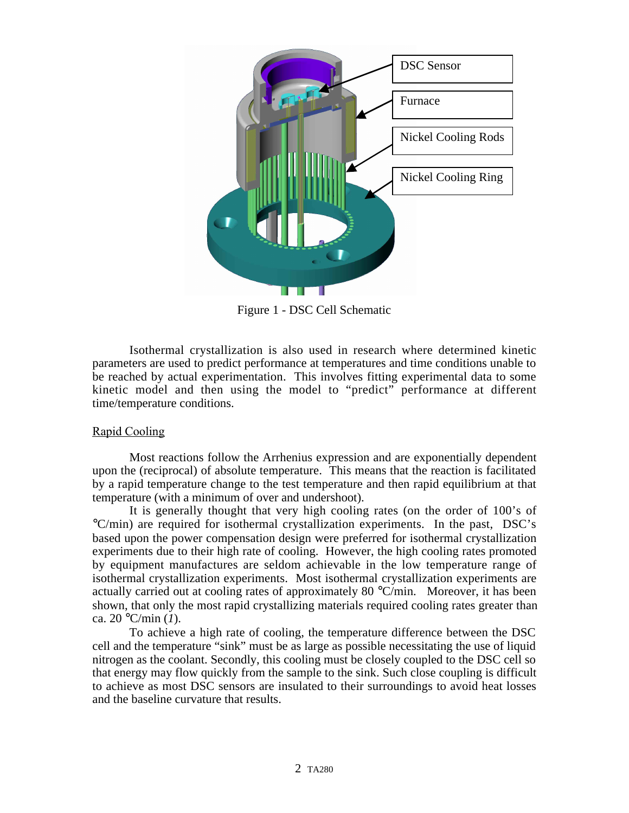

Figure 1 - DSC Cell Schematic

Isothermal crystallization is also used in research where determined kinetic parameters are used to predict performance at temperatures and time conditions unable to be reached by actual experimentation. This involves fitting experimental data to some kinetic model and then using the model to "predict" performance at different time/temperature conditions.

## Rapid Cooling

Most reactions follow the Arrhenius expression and are exponentially dependent upon the (reciprocal) of absolute temperature. This means that the reaction is facilitated by a rapid temperature change to the test temperature and then rapid equilibrium at that temperature (with a minimum of over and undershoot).

It is generally thought that very high cooling rates (on the order of 100's of °C/min) are required for isothermal crystallization experiments. In the past, DSC's based upon the power compensation design were preferred for isothermal crystallization experiments due to their high rate of cooling. However, the high cooling rates promoted by equipment manufactures are seldom achievable in the low temperature range of isothermal crystallization experiments. Most isothermal crystallization experiments are actually carried out at cooling rates of approximately 80  $^{\circ}$ C/min. Moreover, it has been shown, that only the most rapid crystallizing materials required cooling rates greater than ca. 20 °C/min (*1*).

To achieve a high rate of cooling, the temperature difference between the DSC cell and the temperature "sink" must be as large as possible necessitating the use of liquid nitrogen as the coolant. Secondly, this cooling must be closely coupled to the DSC cell so that energy may flow quickly from the sample to the sink. Such close coupling is difficult to achieve as most DSC sensors are insulated to their surroundings to avoid heat losses and the baseline curvature that results.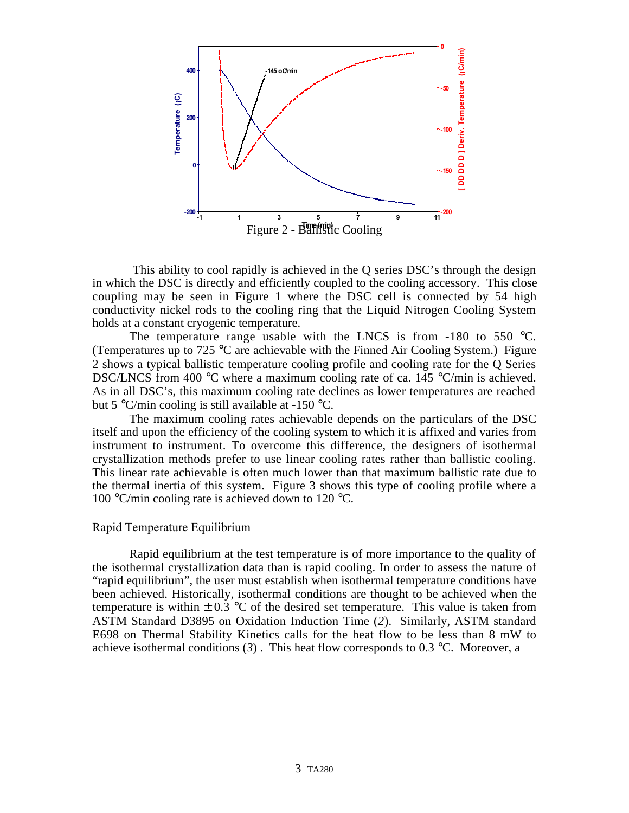

 This ability to cool rapidly is achieved in the Q series DSC's through the design in which the DSC is directly and efficiently coupled to the cooling accessory. This close coupling may be seen in Figure 1 where the DSC cell is connected by 54 high conductivity nickel rods to the cooling ring that the Liquid Nitrogen Cooling System holds at a constant cryogenic temperature.

The temperature range usable with the LNCS is from  $-180$  to 550 °C. (Temperatures up to 725 °C are achievable with the Finned Air Cooling System.) Figure 2 shows a typical ballistic temperature cooling profile and cooling rate for the Q Series DSC/LNCS from 400 °C where a maximum cooling rate of ca. 145 °C/min is achieved. As in all DSC's, this maximum cooling rate declines as lower temperatures are reached but 5  $\degree$ C/min cooling is still available at -150  $\degree$ C.

The maximum cooling rates achievable depends on the particulars of the DSC itself and upon the efficiency of the cooling system to which it is affixed and varies from instrument to instrument. To overcome this difference, the designers of isothermal crystallization methods prefer to use linear cooling rates rather than ballistic cooling. This linear rate achievable is often much lower than that maximum ballistic rate due to the thermal inertia of this system. Figure 3 shows this type of cooling profile where a 100 °C/min cooling rate is achieved down to 120 °C.

#### Rapid Temperature Equilibrium

Rapid equilibrium at the test temperature is of more importance to the quality of the isothermal crystallization data than is rapid cooling. In order to assess the nature of "rapid equilibrium", the user must establish when isothermal temperature conditions have been achieved. Historically, isothermal conditions are thought to be achieved when the temperature is within  $\pm$  0.3 °C of the desired set temperature. This value is taken from ASTM Standard D3895 on Oxidation Induction Time (*2*). Similarly, ASTM standard E698 on Thermal Stability Kinetics calls for the heat flow to be less than 8 mW to achieve isothermal conditions  $(3)$ . This heat flow corresponds to 0.3 °C. Moreover, a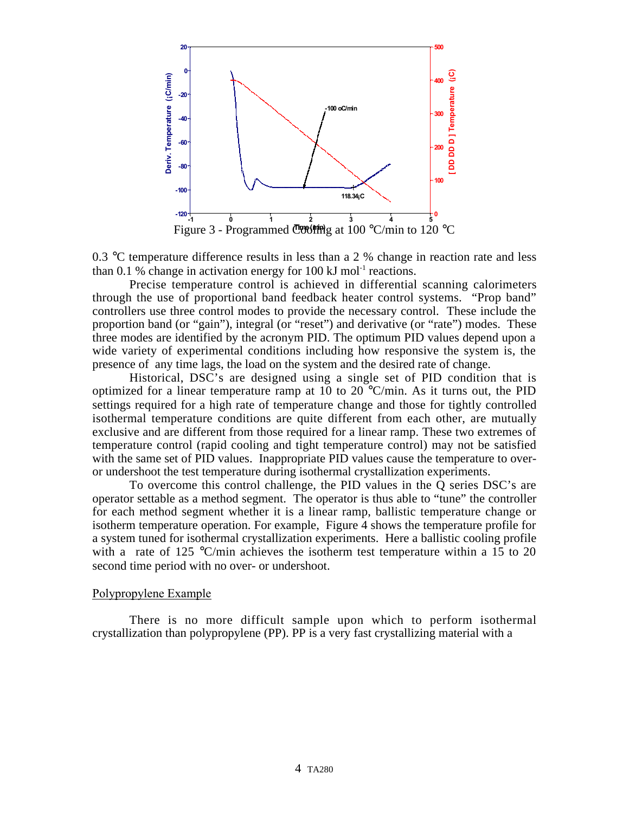

Figure 3 - Programmed Coofing at 100 °C/min to 120 °C

0.3 °C temperature difference results in less than a 2 % change in reaction rate and less than 0.1 % change in activation energy for 100 kJ mol<sup>-1</sup> reactions.

Precise temperature control is achieved in differential scanning calorimeters through the use of proportional band feedback heater control systems. "Prop band" controllers use three control modes to provide the necessary control. These include the proportion band (or "gain"), integral (or "reset") and derivative (or "rate") modes. These three modes are identified by the acronym PID. The optimum PID values depend upon a wide variety of experimental conditions including how responsive the system is, the presence of any time lags, the load on the system and the desired rate of change.

Historical, DSC's are designed using a single set of PID condition that is optimized for a linear temperature ramp at 10 to 20  $^{\circ}$ C/min. As it turns out, the PID settings required for a high rate of temperature change and those for tightly controlled isothermal temperature conditions are quite different from each other, are mutually exclusive and are different from those required for a linear ramp. These two extremes of temperature control (rapid cooling and tight temperature control) may not be satisfied with the same set of PID values. Inappropriate PID values cause the temperature to overor undershoot the test temperature during isothermal crystallization experiments.

To overcome this control challenge, the PID values in the Q series DSC's are operator settable as a method segment. The operator is thus able to "tune" the controller for each method segment whether it is a linear ramp, ballistic temperature change or isotherm temperature operation. For example, Figure 4 shows the temperature profile for a system tuned for isothermal crystallization experiments. Here a ballistic cooling profile with a rate of 125  $\degree$ C/min achieves the isotherm test temperature within a 15 to 20 second time period with no over- or undershoot.

#### Polypropylene Example

There is no more difficult sample upon which to perform isothermal crystallization than polypropylene (PP). PP is a very fast crystallizing material with a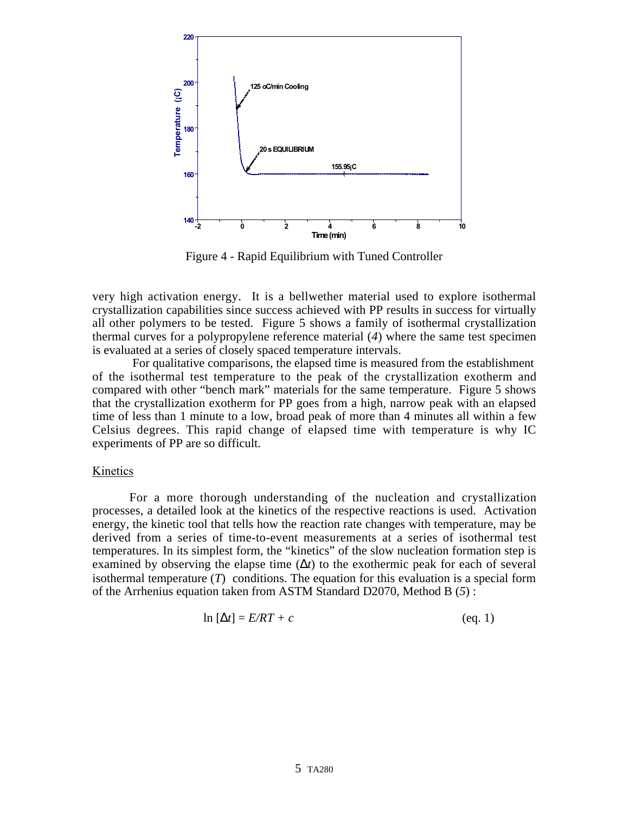

Figure 4 - Rapid Equilibrium with Tuned Controller

very high activation energy. It is a bellwether material used to explore isothermal crystallization capabilities since success achieved with PP results in success for virtually all other polymers to be tested. Figure 5 shows a family of isothermal crystallization thermal curves for a polypropylene reference material (*4*) where the same test specimen is evaluated at a series of closely spaced temperature intervals.

 For qualitative comparisons, the elapsed time is measured from the establishment of the isothermal test temperature to the peak of the crystallization exotherm and compared with other "bench mark" materials for the same temperature. Figure 5 shows that the crystallization exotherm for PP goes from a high, narrow peak with an elapsed time of less than 1 minute to a low, broad peak of more than 4 minutes all within a few Celsius degrees. This rapid change of elapsed time with temperature is why IC experiments of PP are so difficult.

#### Kinetics

For a more thorough understanding of the nucleation and crystallization processes, a detailed look at the kinetics of the respective reactions is used. Activation energy, the kinetic tool that tells how the reaction rate changes with temperature, may be derived from a series of time-to-event measurements at a series of isothermal test temperatures. In its simplest form, the "kinetics" of the slow nucleation formation step is examined by observing the elapse time  $(\Delta t)$  to the exothermic peak for each of several isothermal temperature (*T*) conditions. The equation for this evaluation is a special form of the Arrhenius equation taken from ASTM Standard D2070, Method B (*5*) :

$$
\ln\left[\Delta t\right] = E/RT + c \tag{eq. 1}
$$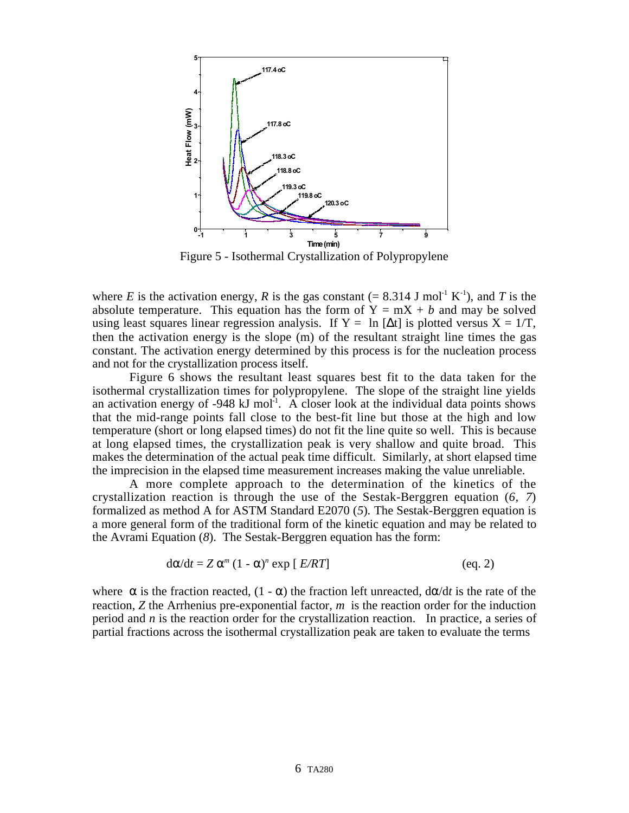

Figure 5 - Isothermal Crystallization of Polypropylene

where *E* is the activation energy, *R* is the gas constant (= 8.314 J mol<sup>-1</sup> K<sup>-1</sup>), and *T* is the absolute temperature. This equation has the form of  $Y = mX + b$  and may be solved using least squares linear regression analysis. If  $Y = \ln \left[ \Delta t \right]$  is plotted versus  $X = 1/T$ , then the activation energy is the slope (m) of the resultant straight line times the gas constant. The activation energy determined by this process is for the nucleation process and not for the crystallization process itself.

Figure 6 shows the resultant least squares best fit to the data taken for the isothermal crystallization times for polypropylene. The slope of the straight line yields an activation energy of  $-948 \text{ kJ}$  mol<sup>-1</sup>. A closer look at the individual data points shows that the mid-range points fall close to the best-fit line but those at the high and low temperature (short or long elapsed times) do not fit the line quite so well. This is because at long elapsed times, the crystallization peak is very shallow and quite broad. This makes the determination of the actual peak time difficult. Similarly, at short elapsed time the imprecision in the elapsed time measurement increases making the value unreliable.

A more complete approach to the determination of the kinetics of the crystallization reaction is through the use of the Sestak-Berggren equation (*6, 7*) formalized as method A for ASTM Standard E2070 (*5*)*.* The Sestak-Berggren equation is a more general form of the traditional form of the kinetic equation and may be related to the Avrami Equation (*8*). The Sestak-Berggren equation has the form:

$$
d\alpha/dt = Z \alpha^{m} (1 - \alpha)^{n} \exp [E/RT]
$$
 (eq. 2)

where  $\alpha$  is the fraction reacted, (1 -  $\alpha$ ) the fraction left unreacted,  $d\alpha/dt$  is the rate of the reaction, *Z* the Arrhenius pre-exponential factor, *m* is the reaction order for the induction period and *n* is the reaction order for the crystallization reaction. In practice, a series of partial fractions across the isothermal crystallization peak are taken to evaluate the terms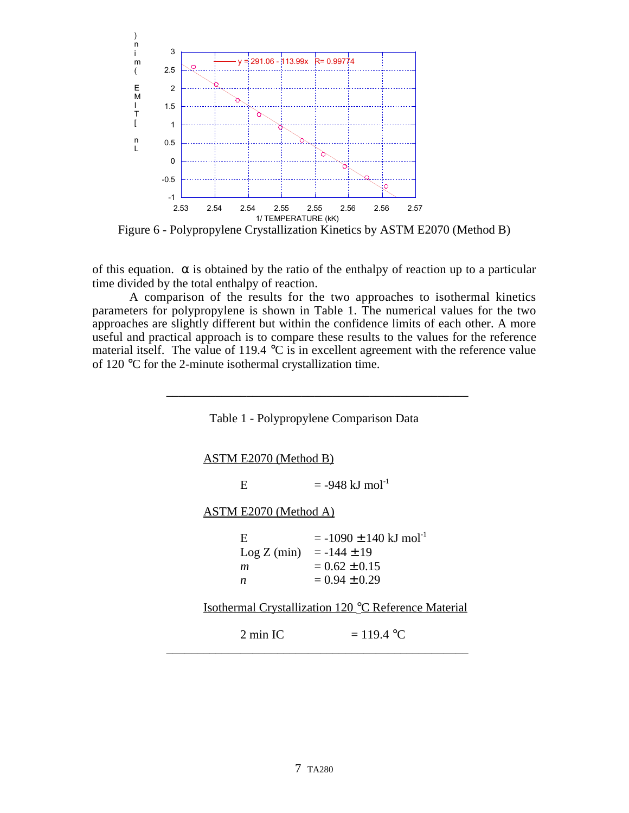

Figure 6 - Polypropylene Crystallization Kinetics by ASTM E2070 (Method B)

of this equation.  $\alpha$  is obtained by the ratio of the enthalpy of reaction up to a particular time divided by the total enthalpy of reaction.

A comparison of the results for the two approaches to isothermal kinetics parameters for polypropylene is shown in Table 1. The numerical values for the two approaches are slightly different but within the confidence limits of each other. A more useful and practical approach is to compare these results to the values for the reference material itself. The value of 119.4  $\degree$ C is in excellent agreement with the reference value of 120 °C for the 2-minute isothermal crystallization time.

Table 1 - Polypropylene Comparison Data

\_\_\_\_\_\_\_\_\_\_\_\_\_\_\_\_\_\_\_\_\_\_\_\_\_\_\_\_\_\_\_\_\_\_\_\_\_\_\_\_\_\_\_\_\_\_\_\_\_

| <b>ASTM E2070 (Method B)</b>                                     |                                                            |                                                                                  |
|------------------------------------------------------------------|------------------------------------------------------------|----------------------------------------------------------------------------------|
|                                                                  | E                                                          | $= -948$ kJ mol <sup>-1</sup>                                                    |
| <b>ASTM E2070 (Method A)</b>                                     |                                                            |                                                                                  |
|                                                                  | E<br>$\text{Log } Z \text{ (min)} = -144 \pm 19$<br>m<br>n | $= -1090 \pm 140$ kJ mol <sup>-1</sup><br>$= 0.62 \pm 0.15$<br>$= 0.94 \pm 0.29$ |
| Isothermal Crystallization 120 <sup>°</sup> C Reference Material |                                                            |                                                                                  |
|                                                                  | $2 \text{ min}$ IC                                         | $= 119.4 °C$                                                                     |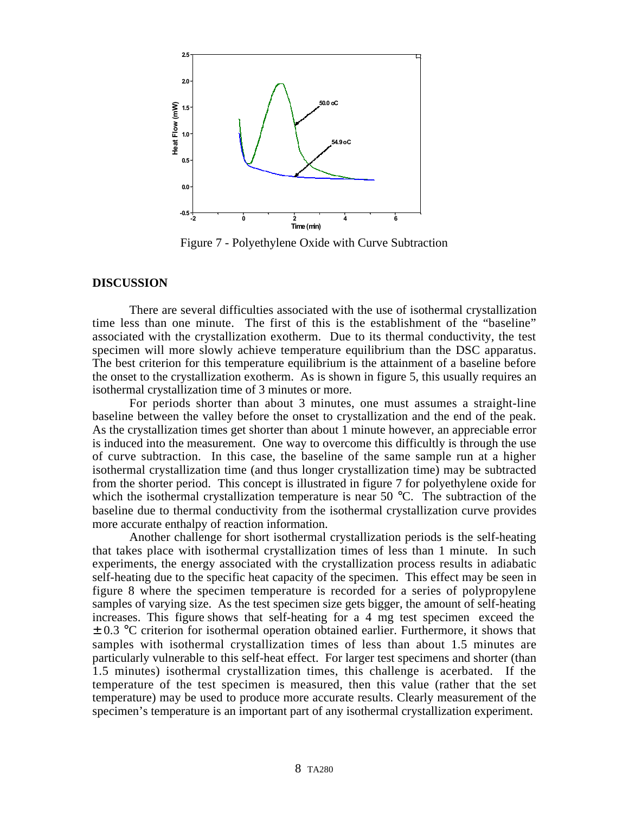

Figure 7 - Polyethylene Oxide with Curve Subtraction

#### **DISCUSSION**

There are several difficulties associated with the use of isothermal crystallization time less than one minute. The first of this is the establishment of the "baseline" associated with the crystallization exotherm. Due to its thermal conductivity, the test specimen will more slowly achieve temperature equilibrium than the DSC apparatus. The best criterion for this temperature equilibrium is the attainment of a baseline before the onset to the crystallization exotherm. As is shown in figure 5, this usually requires an isothermal crystallization time of 3 minutes or more.

For periods shorter than about 3 minutes, one must assumes a straight-line baseline between the valley before the onset to crystallization and the end of the peak. As the crystallization times get shorter than about 1 minute however, an appreciable error is induced into the measurement. One way to overcome this difficultly is through the use of curve subtraction. In this case, the baseline of the same sample run at a higher isothermal crystallization time (and thus longer crystallization time) may be subtracted from the shorter period. This concept is illustrated in figure 7 for polyethylene oxide for which the isothermal crystallization temperature is near 50 °C. The subtraction of the baseline due to thermal conductivity from the isothermal crystallization curve provides more accurate enthalpy of reaction information.

Another challenge for short isothermal crystallization periods is the self-heating that takes place with isothermal crystallization times of less than 1 minute. In such experiments, the energy associated with the crystallization process results in adiabatic self-heating due to the specific heat capacity of the specimen. This effect may be seen in figure 8 where the specimen temperature is recorded for a series of polypropylene samples of varying size. As the test specimen size gets bigger, the amount of self-heating increases. This figure shows that self-heating for a 4 mg test specimen exceed the ± 0.3 °C criterion for isothermal operation obtained earlier. Furthermore, it shows that samples with isothermal crystallization times of less than about 1.5 minutes are particularly vulnerable to this self-heat effect. For larger test specimens and shorter (than 1.5 minutes) isothermal crystallization times, this challenge is acerbated. If the temperature of the test specimen is measured, then this value (rather that the set temperature) may be used to produce more accurate results. Clearly measurement of the specimen's temperature is an important part of any isothermal crystallization experiment.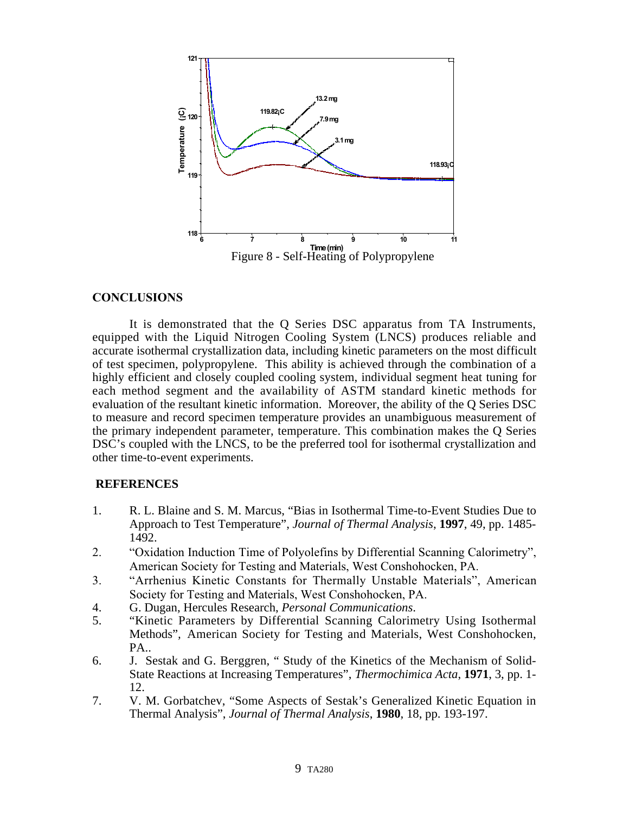

## **CONCLUSIONS**

It is demonstrated that the Q Series DSC apparatus from TA Instruments, equipped with the Liquid Nitrogen Cooling System (LNCS) produces reliable and accurate isothermal crystallization data, including kinetic parameters on the most difficult of test specimen, polypropylene. This ability is achieved through the combination of a highly efficient and closely coupled cooling system, individual segment heat tuning for each method segment and the availability of ASTM standard kinetic methods for evaluation of the resultant kinetic information. Moreover, the ability of the Q Series DSC to measure and record specimen temperature provides an unambiguous measurement of the primary independent parameter, temperature. This combination makes the Q Series DSC's coupled with the LNCS, to be the preferred tool for isothermal crystallization and other time-to-event experiments.

## **REFERENCES**

- 1. R. L. Blaine and S. M. Marcus, "Bias in Isothermal Time-to-Event Studies Due to Approach to Test Temperature", *Journal of Thermal Analysis*, **1997**, 49, pp. 1485- 1492.
- 2. "Oxidation Induction Time of Polyolefins by Differential Scanning Calorimetry", American Society for Testing and Materials, West Conshohocken, PA.
- 3. "Arrhenius Kinetic Constants for Thermally Unstable Materials", American Society for Testing and Materials, West Conshohocken, PA.
- 4. G. Dugan, Hercules Research, *Personal Communications*.
- 5. "Kinetic Parameters by Differential Scanning Calorimetry Using Isothermal Methods"*,* American Society for Testing and Materials, West Conshohocken, PA..
- 6. J. Sestak and G. Berggren, " Study of the Kinetics of the Mechanism of Solid-State Reactions at Increasing Temperatures", *Thermochimica Acta*, **1971**, 3, pp. 1- 12.
- 7. V. M. Gorbatchev, "Some Aspects of Sestak's Generalized Kinetic Equation in Thermal Analysis", *Journal of Thermal Analysis*, **1980**, 18, pp. 193-197.